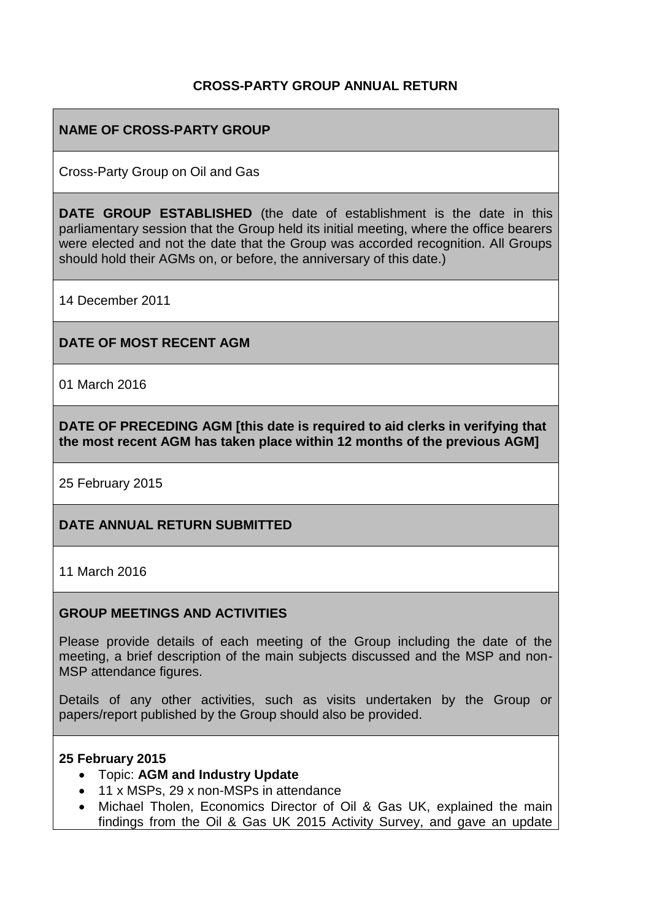## **CROSS-PARTY GROUP ANNUAL RETURN**

## **NAME OF CROSS-PARTY GROUP**

Cross-Party Group on Oil and Gas

**DATE GROUP ESTABLISHED** (the date of establishment is the date in this parliamentary session that the Group held its initial meeting, where the office bearers were elected and not the date that the Group was accorded recognition. All Groups should hold their AGMs on, or before, the anniversary of this date.)

14 December 2011

**DATE OF MOST RECENT AGM**

01 March 2016

**DATE OF PRECEDING AGM [this date is required to aid clerks in verifying that the most recent AGM has taken place within 12 months of the previous AGM]**

25 February 2015

### **DATE ANNUAL RETURN SUBMITTED**

11 March 2016

#### **GROUP MEETINGS AND ACTIVITIES**

Please provide details of each meeting of the Group including the date of the meeting, a brief description of the main subjects discussed and the MSP and non-MSP attendance figures.

Details of any other activities, such as visits undertaken by the Group or papers/report published by the Group should also be provided.

#### **25 February 2015**

- Topic: **AGM and Industry Update**
- 11 x MSPs, 29 x non-MSPs in attendance
- Michael Tholen, Economics Director of Oil & Gas UK, explained the main findings from the Oil & Gas UK 2015 Activity Survey, and gave an update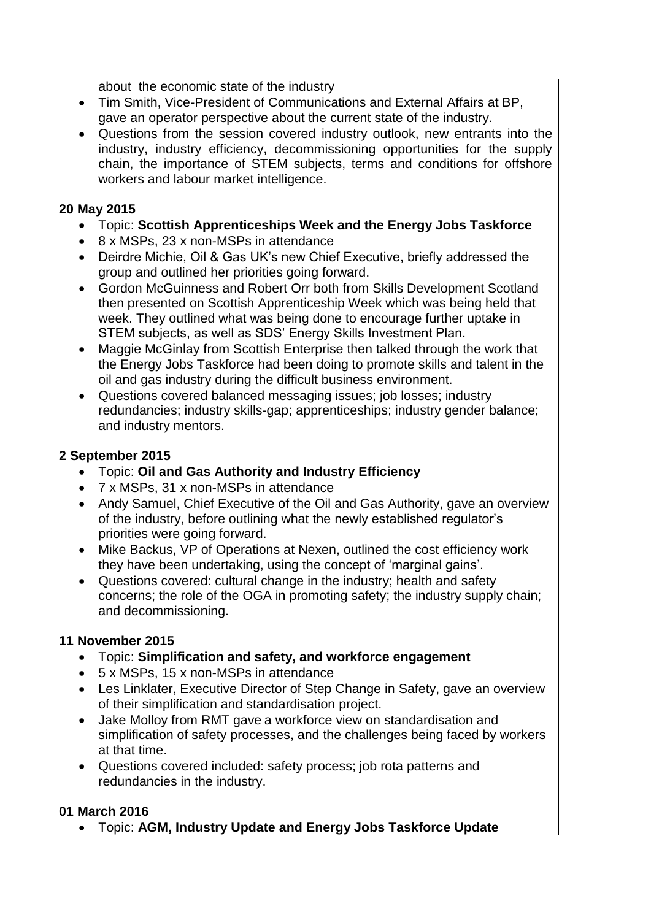about the economic state of the industry

- Tim Smith, Vice-President of Communications and External Affairs at BP, gave an operator perspective about the current state of the industry.
- Questions from the session covered industry outlook, new entrants into the industry, industry efficiency, decommissioning opportunities for the supply chain, the importance of STEM subjects, terms and conditions for offshore workers and labour market intelligence.

### **20 May 2015**

- Topic: **Scottish Apprenticeships Week and the Energy Jobs Taskforce**
- 8 x MSPs, 23 x non-MSPs in attendance
- Deirdre Michie, Oil & Gas UK's new Chief Executive, briefly addressed the group and outlined her priorities going forward.
- Gordon McGuinness and Robert Orr both from Skills Development Scotland then presented on Scottish Apprenticeship Week which was being held that week. They outlined what was being done to encourage further uptake in STEM subjects, as well as SDS' Energy Skills Investment Plan.
- Maggie McGinlay from Scottish Enterprise then talked through the work that the Energy Jobs Taskforce had been doing to promote skills and talent in the oil and gas industry during the difficult business environment.
- Questions covered balanced messaging issues; job losses; industry redundancies; industry skills-gap; apprenticeships; industry gender balance; and industry mentors.

## **2 September 2015**

- Topic: **Oil and Gas Authority and Industry Efficiency**
- 7 x MSPs, 31 x non-MSPs in attendance
- Andy Samuel, Chief Executive of the Oil and Gas Authority, gave an overview of the industry, before outlining what the newly established regulator's priorities were going forward.
- Mike Backus, VP of Operations at Nexen, outlined the cost efficiency work they have been undertaking, using the concept of 'marginal gains'.
- Questions covered: cultural change in the industry; health and safety concerns; the role of the OGA in promoting safety; the industry supply chain; and decommissioning.

## **11 November 2015**

- Topic: **Simplification and safety, and workforce engagement**
- 5 x MSPs, 15 x non-MSPs in attendance
- Les Linklater, Executive Director of Step Change in Safety, gave an overview of their simplification and standardisation project.
- Jake Molloy from RMT gave a workforce view on standardisation and simplification of safety processes, and the challenges being faced by workers at that time.
- Questions covered included: safety process; job rota patterns and redundancies in the industry.

### **01 March 2016**

Topic: **AGM, Industry Update and Energy Jobs Taskforce Update**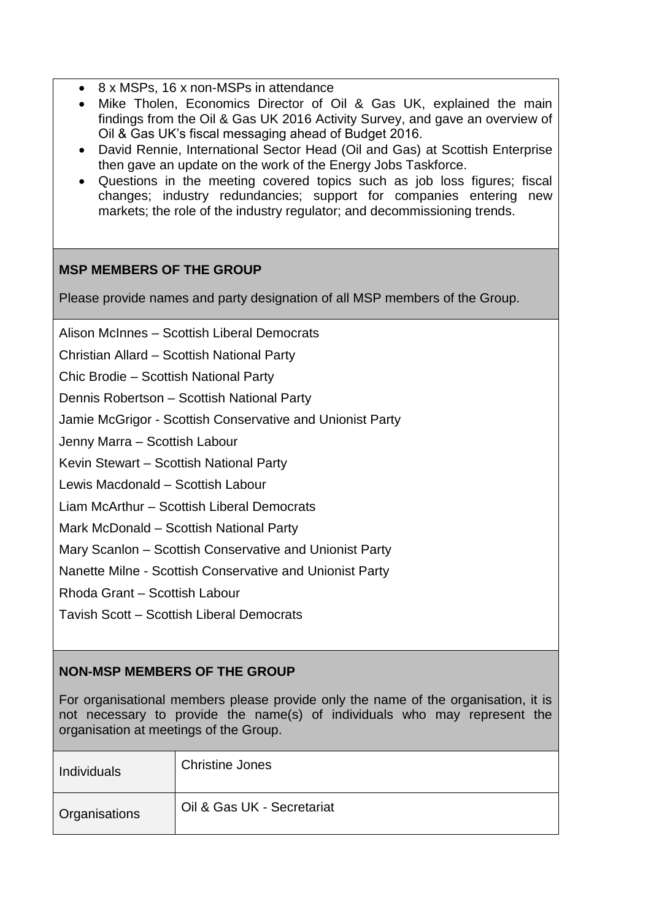- 8 x MSPs, 16 x non-MSPs in attendance
- Mike Tholen, Economics Director of Oil & Gas UK, explained the main findings from the Oil & Gas UK 2016 Activity Survey, and gave an overview of Oil & Gas UK's fiscal messaging ahead of Budget 2016.
- David Rennie, International Sector Head (Oil and Gas) at Scottish Enterprise then gave an update on the work of the Energy Jobs Taskforce.
- Questions in the meeting covered topics such as job loss figures; fiscal changes; industry redundancies; support for companies entering new markets; the role of the industry regulator; and decommissioning trends.

## **MSP MEMBERS OF THE GROUP**

Please provide names and party designation of all MSP members of the Group.

Alison McInnes – Scottish Liberal Democrats

Christian Allard – Scottish National Party

Chic Brodie – Scottish National Party

Dennis Robertson – Scottish National Party

Jamie McGrigor - Scottish Conservative and Unionist Party

Jenny Marra – Scottish Labour

Kevin Stewart – Scottish National Party

Lewis Macdonald – Scottish Labour

Liam McArthur – Scottish Liberal Democrats

Mark McDonald – Scottish National Party

Mary Scanlon – Scottish Conservative and Unionist Party

Nanette Milne - Scottish Conservative and Unionist Party

Rhoda Grant – Scottish Labour

Tavish Scott – Scottish Liberal Democrats

## **NON-MSP MEMBERS OF THE GROUP**

For organisational members please provide only the name of the organisation, it is not necessary to provide the name(s) of individuals who may represent the organisation at meetings of the Group.

| Individuals          | <b>Christine Jones</b>     |
|----------------------|----------------------------|
| <b>Organisations</b> | Oil & Gas UK - Secretariat |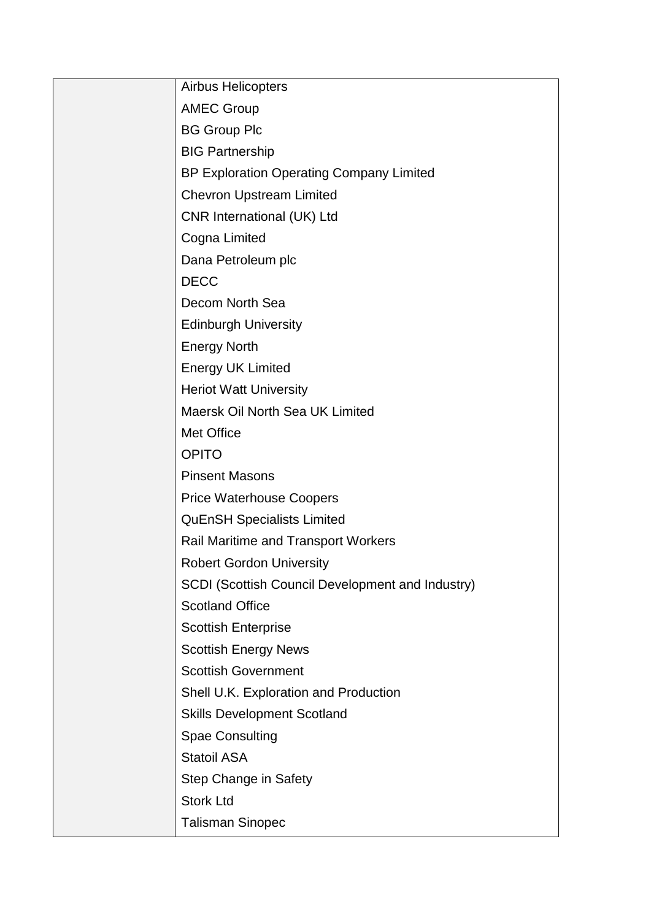| <b>Airbus Helicopters</b>                        |
|--------------------------------------------------|
| <b>AMEC Group</b>                                |
| <b>BG Group Plc</b>                              |
| <b>BIG Partnership</b>                           |
| BP Exploration Operating Company Limited         |
| <b>Chevron Upstream Limited</b>                  |
| CNR International (UK) Ltd                       |
| Cogna Limited                                    |
| Dana Petroleum plc                               |
| <b>DECC</b>                                      |
| Decom North Sea                                  |
| <b>Edinburgh University</b>                      |
| <b>Energy North</b>                              |
| <b>Energy UK Limited</b>                         |
| <b>Heriot Watt University</b>                    |
| Maersk Oil North Sea UK Limited                  |
| Met Office                                       |
| <b>OPITO</b>                                     |
| <b>Pinsent Masons</b>                            |
| <b>Price Waterhouse Coopers</b>                  |
| <b>QuEnSH Specialists Limited</b>                |
| <b>Rail Maritime and Transport Workers</b>       |
| <b>Robert Gordon University</b>                  |
| SCDI (Scottish Council Development and Industry) |
| <b>Scotland Office</b>                           |
| <b>Scottish Enterprise</b>                       |
| <b>Scottish Energy News</b>                      |
| <b>Scottish Government</b>                       |
| Shell U.K. Exploration and Production            |
| <b>Skills Development Scotland</b>               |
| <b>Spae Consulting</b>                           |
| <b>Statoil ASA</b>                               |
| Step Change in Safety                            |
| <b>Stork Ltd</b>                                 |
| <b>Talisman Sinopec</b>                          |
|                                                  |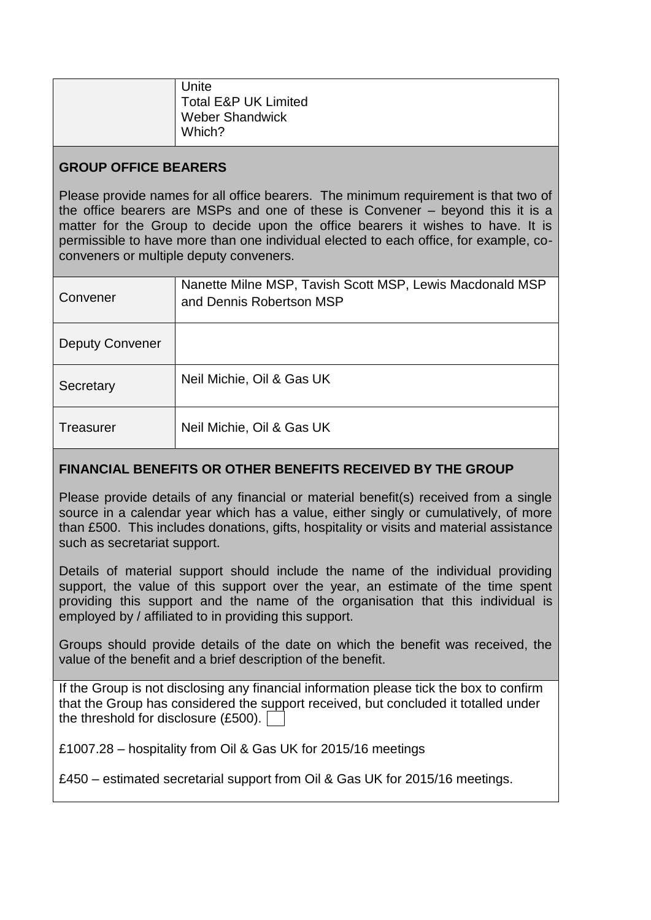| Unite                  |
|------------------------|
|                        |
| Total E&P UK Limited   |
| <b>Weber Shandwick</b> |
| Which?                 |
|                        |

## **GROUP OFFICE BEARERS**

Please provide names for all office bearers. The minimum requirement is that two of the office bearers are MSPs and one of these is Convener – beyond this it is a matter for the Group to decide upon the office bearers it wishes to have. It is permissible to have more than one individual elected to each office, for example, coconveners or multiple deputy conveners.

| Convener               | Nanette Milne MSP, Tavish Scott MSP, Lewis Macdonald MSP<br>and Dennis Robertson MSP |
|------------------------|--------------------------------------------------------------------------------------|
| <b>Deputy Convener</b> |                                                                                      |
| Secretary              | Neil Michie, Oil & Gas UK                                                            |
| Treasurer              | Neil Michie, Oil & Gas UK                                                            |

## **FINANCIAL BENEFITS OR OTHER BENEFITS RECEIVED BY THE GROUP**

Please provide details of any financial or material benefit(s) received from a single source in a calendar year which has a value, either singly or cumulatively, of more than £500. This includes donations, gifts, hospitality or visits and material assistance such as secretariat support.

Details of material support should include the name of the individual providing support, the value of this support over the year, an estimate of the time spent providing this support and the name of the organisation that this individual is employed by / affiliated to in providing this support.

Groups should provide details of the date on which the benefit was received, the value of the benefit and a brief description of the benefit.

If the Group is not disclosing any financial information please tick the box to confirm that the Group has considered the support received, but concluded it totalled under the threshold for disclosure (£500).

£1007.28 – hospitality from Oil & Gas UK for 2015/16 meetings

£450 – estimated secretarial support from Oil & Gas UK for 2015/16 meetings.